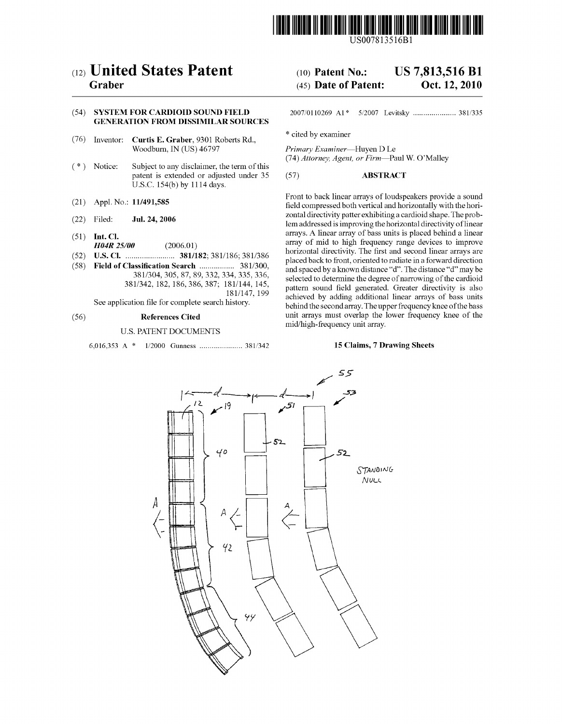

US007813516B1

# (12) United States Patent

# Graber

# (54) SYSTEM FOR CARDOD SOUND FIELD **GENERATION FROM DISSIMILAR SOURCES**

- (76) Inventor: Curtis E. Graber, 9301 Roberts Rd., Woodburn, IN (US) 46797
- (\*) Notice: Subject to any disclaimer, the term of this patent is extended or adjusted under 35 U.S.C. 154(b) by 1114 days.
- (21) Appl. No.: 11/491,585
- (22) Jul. 24, 2006
- $(51)$  Int. Cl.
- H04R 25/00 (2006.01)
- (52) (58) Field of Classification Search ................. 381/300, U.S. Cl. ........................ 381/182; 381/186: 381/386
- 381/304,305, 87, 89,332,334, 335, 336, 381/342, 182, 186, 386, 387; 181/144, 145, 181/147, 199

See application file for complete search history.

#### (56) References Cited

# U.S. PATENT DOCUMENTS

6,016,353 A 1/2000 Gunness ..................... 381 (342

#### US 7,813,516 B1 Oct. 12, 2010 (10) Patent No.: (45) Date of Patent:

2007/0110269 A1\* 5/2007 Levitsky ..................... 381,335

\* cited by examiner

Primary Examiner-Huyen D Le (74) Attorney, Agent, or Firm-Paul W. O'Malley

## (57) ABSTRACT

Front to back linear arrays of loudspeakers provide a sound field compressed both vertical and horizontally with the hori Zontal directivity patter exhibiting a cardioid shape. The prob lem addressed is improving the horizontal directivity of linear arrays. A linear array of bass units is placed behind a linear array of mid to high frequency range devices to improve horizontal directivity. The first and second linear arrays are placed back to front, oriented to radiate in a forward direction and spaced by a known distance "d". The distance "d" may be selected to determine the degree of narrowing of the cardioid pattern sound field generated. Greater directivity is also achieved by adding additional linear arrays of bass units behind the secondarray. The upper frequency knee of the bass unit arrays must overlap the lower frequency knee of the mid/high-frequency unit array.

#### 15 Claims, 7 Drawing Sheets

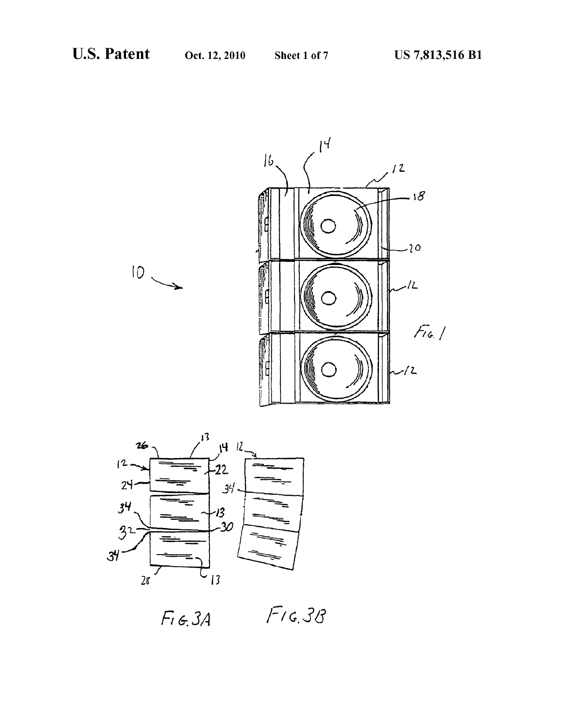



 $F$ 16.38  $F_{1}6.34$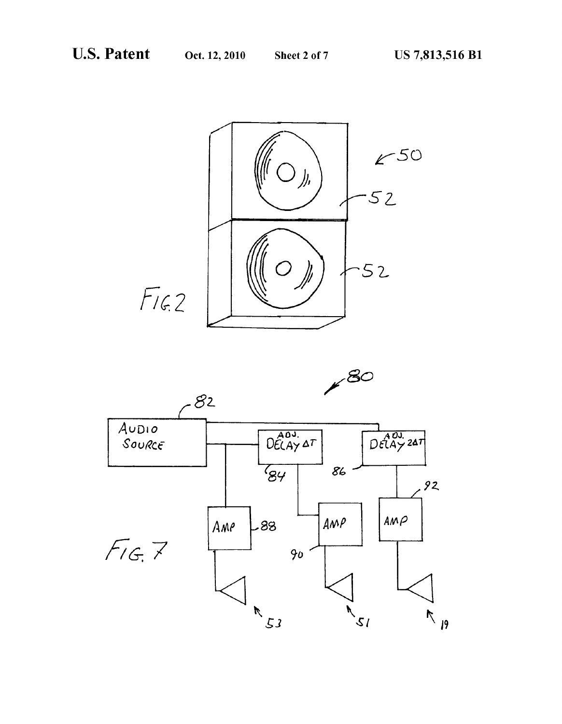

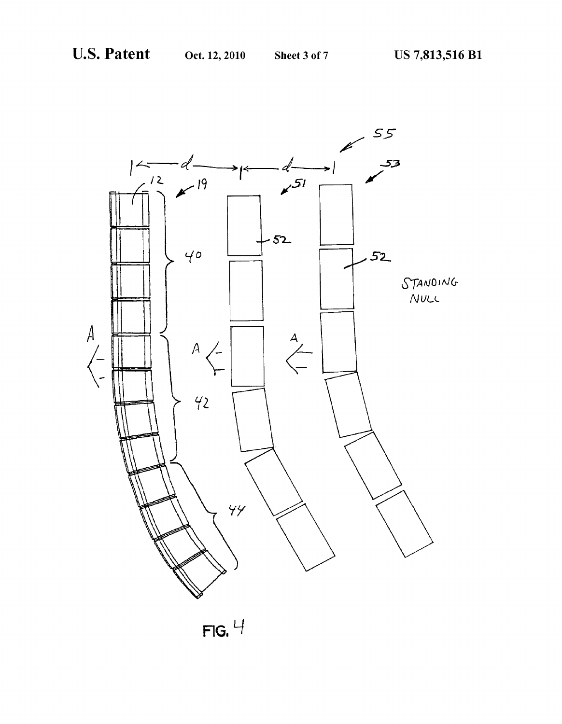

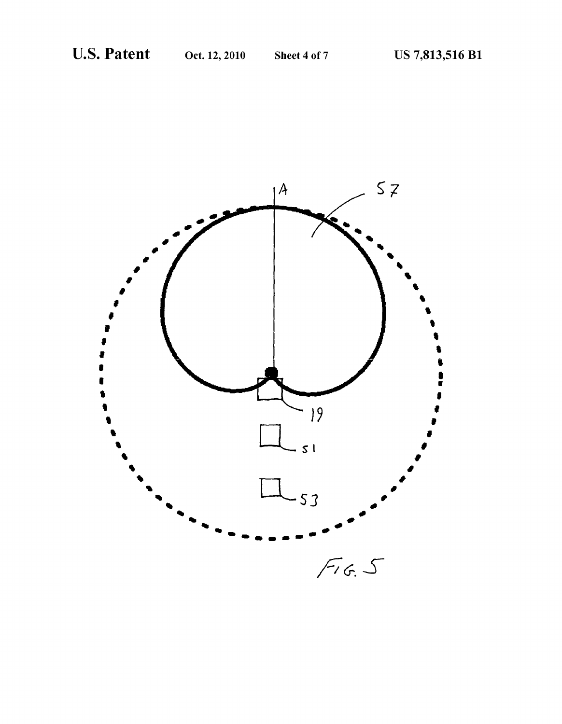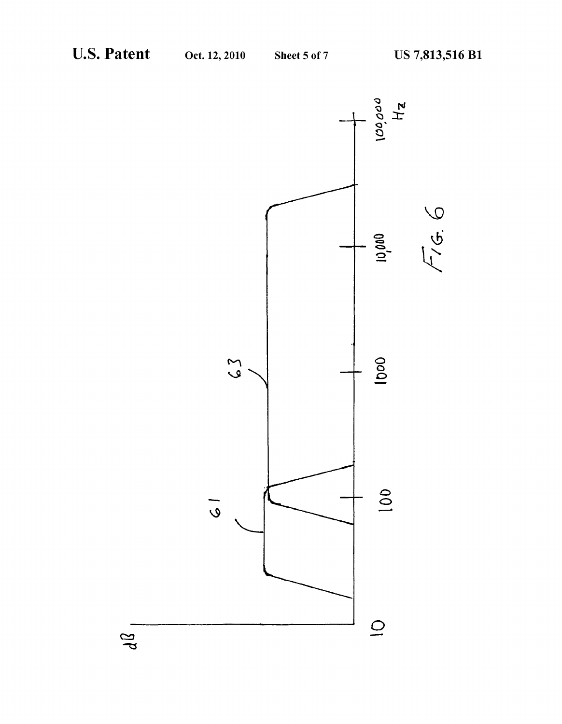$d\Omega$ 

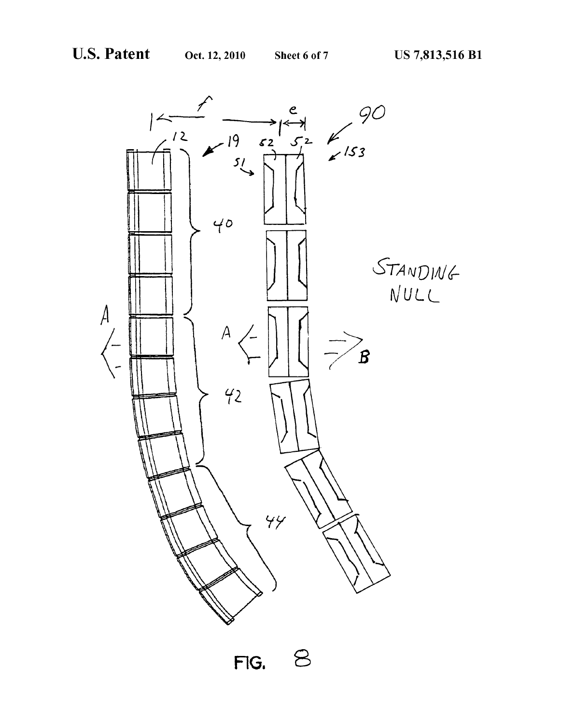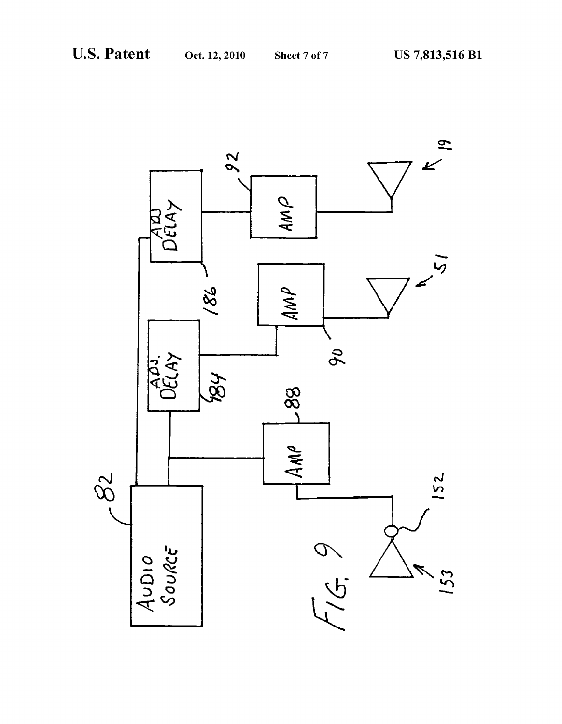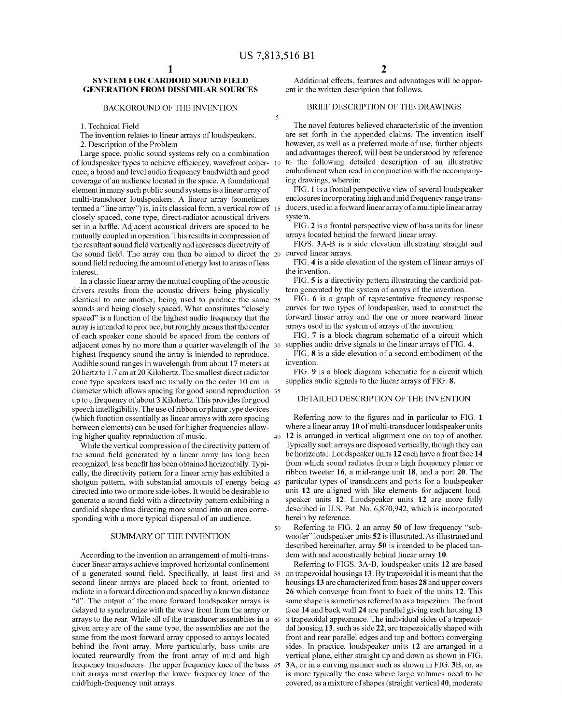5

50

## SYSTEM FOR CARDIOID SOUND FIELD **GENERATION FROM DISSIMILAR SOURCES**

#### BACKGROUND OF THE INVENTION

1. Technical Field

The invention relates to linear arrays of loudspeakers.

2. Description of the Problem

Large space, public sound systems rely on a combination of loudspeaker types to achieve efficiency, wavefront coher- 10 ence, a broad and level audio frequency bandwidth and good coverage of an audience located in the space. A foundational element in many Such public sound systems is a linear array of multi-transducer loudspeakers. A linear array (sometimes termed a "line array') is, in its classical form, a vertical row of 15 closely spaced, cone type, direct-radiator acoustical drivers set in a baffle. Adjacent acoustical drivers are spaced to be mutually coupled in operation. This results in compression of the resultant sound field vertically and increases directivity of the sound field. The array can then be aimed to direct the sound field reducing the amount of energy lost to areas of less interest.

In a classic linear array the mutual coupling of the acoustic drivers results from the acoustic drivers being physically identical to one another, being used to produce the same 25 sounds and being closely spaced. What constitutes "closely spaced" is a function of the highest audio frequency that the array is intended to produce, but roughly means that the center of each speaker cone should be spaced from the centers of adjacent cones by no more than a quarter wavelength of the 30 highest frequency sound the array is intended to reproduce. Audible sound ranges in wavelength from about 17 meters at 20 hertz to 1.7 cm at 20 Kilohertz. The smallest direct radiator cone type speakers used are usually on the order 10 cm in diameter which allows spacing for good sound reproduction 35 up to a frequency of about 3 Kilohertz. This provides for good speech intelligibility. The use of ribbon or planar type devices (which function essentially as linear arrays with Zero spacing between elements) can be used for higher frequencies allow ing higher quality reproduction of music. 40

While the vertical compression of the directivity pattern of the sound field generated by a linear array has long been recognized, less benefit has been obtained horizontally. Typi cally, the directivity pattern for a linear array has exhibited a shotgun pattern, with Substantial amounts of energy being 45 directed into two or more side-lobes. It would be desirable to generate a sound field with a directivity pattern exhibiting a cardioid shape thus directing more sound into an area corre sponding with a more typical dispersal of an audience.

#### SUMMARY OF THE INVENTION

According to the invention an arrangement of multi-trans ducer linear arrays achieve improved horizontal confinement of a generated sound field. Specifically, at least first and 55 on trapezoidal housings 13. By trapezoidal it is meant that the second linear arrays are placed back to front, oriented to radiate in a forward direction and spaced by a known distance "d'. The output of the more forward loudspeaker arrays is delayed to synchronize with the wave front from the array or arrays to the rear. While all of the transducer assemblies in a 60 given array are of the same type, the assemblies are not the same from the most forward array opposed to arrays located behind the front array. More particularly, bass units are located rearwardly from the front array of mid and high frequency transducers. The upper frequency knee of the bass 65 unit arrays must overlap the lower frequency knee of the mid/high-frequency unit arrays.

Additional effects, features and advantages will be appar ent in the written description that follows.

# BRIEF DESCRIPTION OF THE DRAWINGS

The novel features believed characteristic of the invention are set forth in the appended claims. The invention itself however, as well as a preferred mode of use, further objects and advantages thereof, will best be understood by reference to the following detailed description of an illustrative embodiment when read in conjunction with the accompanying drawings, wherein:

FIG. 1 is a frontal perspective view of several loudspeaker enclosures incorporating high and mid frequency range trans ducers, used in a forward linear array of a multiple linear array system.

FIG. 2 is a frontal perspective view of bass units for linear arrays located behind the forward linear array.

FIGS. 3A-B is a side elevation illustrating straight and curved linear arrays.

FIG. 4 is a side elevation of the system of linear arrays of the invention.

FIG. 5 is a directivity pattern illustrating the cardioid pat tern generated by the system of arrays of the invention.

FIG. 6 is a graph of representative frequency response curves for two types of loudspeaker, used to construct the forward linear array and the one or more rearward linear arrays used in the system of arrays of the invention.

FIG. 7 is a block diagram schematic of a circuit which supplies audio drive signals to the linear arrays of FIG. 4.

FIG. 8 is a side elevation of a second embodiment of the invention.

FIG. 9 is a block diagram schematic for a circuit which supplies audio signals to the linear arrays of FIG. 8.

### DETAILED DESCRIPTION OF THE INVENTION

Referring now to the figures and in particular to FIG. 1 where a linear array 10 of multi-transducer loudspeaker units 12 is arranged in Vertical alignment one on top of another. Typically such arrays are disposed vertically, though they can be horizontal. Loudspeaker units 12 each have a front face 14 from which sound radiates from a high frequency planar or ribbon tweeter 16, a mid-range unit 18, and a port 20. The particular types of transducers and ports for a loudspeaker unit 12 are aligned with like elements for adjacent loud speaker units 12. Loudspeaker units 12 are more fully described in U.S. Pat. No. 6,870,942, which is incorporated herein by reference.

Referring to FIG. 2 an array 50 of low frequency "sub woofer" loudspeaker units 52 is illustrated. As illustrated and described hereinafter, array 50 is intended to be placed tan dem with and acoustically behind linear array 10.

Referring to FIGS. 3A-B, loudspeaker units 12 are based housings 13 are characterized from bases 28 and upper covers 26 which converge from front to back of the units 12. This same shape is sometimes referred to as a trapezium. The front face 14 and back wall 24 are parallel giving each housing 13 a trapezoidal appearance. The individual sides of a trapezoi dal housing 13, such as side 22, are trapezoidally shaped with front and rear parallel edges and top and bottom converging sides. In practice, loudspeaker units 12 are arranged in a Vertical plane, either straight up and down as shown in FIG. 3A, or in a curving manner such as shown in FIG. 3B, or, as is more typically the case where large Volumes need to be covered, as a mixture of shapes (straight vertical 40, moderate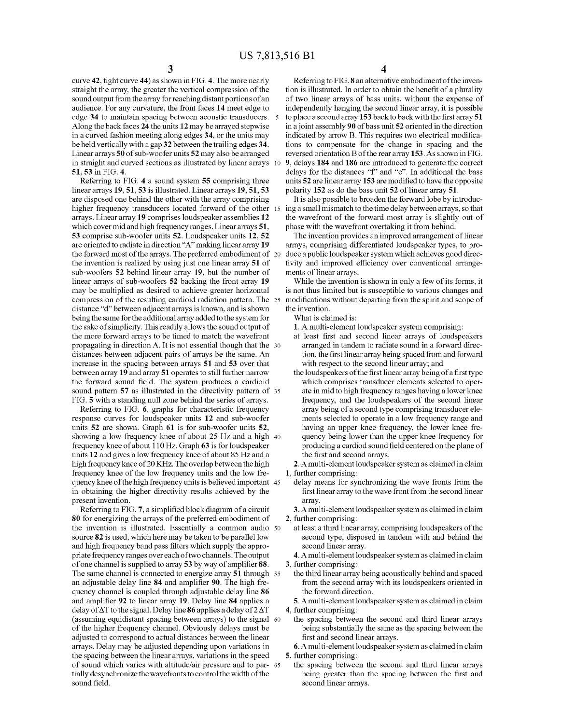curve 42, tight curve 44) as shown in FIG. 4. The more nearly straight the array, the greater the vertical compression of the sound output from the array for reaching distant portions of an audience. For any curvature, the front faces 14 meet edge to edge 34 to maintain spacing between acoustic transducers. 5<br>Along the back faces 24 the units 12 may be arrayed stepwise in a curved fashion meeting along edges 34, or the units may be held vertically with a gap 32 between the trailing edges 34. Linear arrays 50 of sub-woofer units 52 may also be arranged in straight and curved sections as illustrated by linear arrays 10 51,53 in FIG. 4.

Referring to FIG. 4 a sound system 55 comprising three linear arrays 19, 51, 53 is illustrated. Linear arrays 19, 51, 53 are disposed one behind the other with the array comprising higher frequency transducers located forward of the other 15 arrays. Linear array 19 comprises loudspeaker assemblies 12 which cover mid and high frequency ranges. Linear arrays 51, 53 comprise sub-woofer units 52. Loudspeaker units 12, 52 are oriented to radiate in direction "A" making linear array 19 the forward most of the arrays. The preferred embodiment of the invention is realized by using just one linear array 51 of sub-woofers 52 behind linear array 19, but the number of linear arrays of sub-woofers 52 backing the front array 19 may be multiplied as desired to achieve greater horizontal compression of the resulting cardioid radiation pattern. The 25 distance "d" between adjacent arrays is known, and is shown being the same for the additional array added to the system for the sake of simplicity. This readily allows the sound output of the more forward arrays to be timed to match the wavefront propagating in direction A. It is not essential though that the 30 distances between adjacent pairs of arrays be the same. An increase in the spacing between arrays 51 and 53 over that between array 19 and array 51 operates to still further narrow the forward sound field. The system produces a cardioid sound pattern 57 as illustrated in the directivity pattern of 35

FIG. 5 with a standing null Zone behind the series of arrays. Referring to FIG. 6, graphs for characteristic frequency response curves for loudspeaker units 12 and sub-woofer units 52 are shown. Graph 61 is for sub-woofer units 52. showing a low frequency knee of about 25 Hz and a high 40 frequency knee of about 110 Hz. Graph 63 is for loudspeaker units 12 and gives a low frequency knee of about 85 Hz and a high frequency knee of 20 KHZ. The overlap between the high frequency knee of the low frequency units and the low fre quency knee of the high frequency units is believed important 45 in obtaining the higher directivity results achieved by the present invention.

Referring to FIG. 7, a simplified block diagram of a circuit 80 for energizing the arrays of the preferred embodiment of the invention is illustrated. Essentially a common audio 50 source 82 is used, which here may be taken to be parallel low and high frequency band pass filters which supply the appropriate frequency ranges over each of two channels. The output of one channel is supplied to array 53 by way of amplifier 88. The same channel is connected to energize array 51 through 55 an adjustable delay line 84 and amplifier 90. The high fre quency channel is coupled through adjustable delay line 86 and amplifier 92 to linear array 19. Delay line 84 applies a delay of  $\Delta T$  to the signal. Delay line 86 applies a delay of  $2 \Delta T$ (assuming equidistant spacing between arrays) to the signal 60 of the higher frequency channel. Obviously delays must be adjusted to correspond to actual distances between the linear arrays. Delay may be adjusted depending upon variations in the spacing between the linear arrays, variations in the speed of sound which varies with altitude/air pressure and to partially desynchronize the wavefronts to control the width of the sound field. 65

4

Referring to FIG. 8 an alternative embodiment of the invention is illustrated. In order to obtain the benefit of a plurality of two linear arrays of bass units, without the expense of independently hanging the second linear array, it is possible to place a second array 153 back to back with the first array 51 in a joint assembly 90 of bass unit 52 oriented in the direction indicated by arrow B. This requires two electrical modifica tions to compensate for the change in spacing and the reversed orientation B of the rear array 153. As shown in FIG. 9, delays 184 and 186 are introduced to generate the correct delays for the distances "f" and "e". In additional the bass units 52 are linear array 153 are modified to have the opposite polarity 152 as do the bass unit 52 of linear array 51.

It is also possible to broaden the forward lobe by introduc ing a small mismatch to the time delay between arrays, so that the wavefront of the forward most array is slightly out of phase with the wavefront overtaking it from behind.

The invention provides an improved arrangement of linear arrays, comprising differentiated loudspeaker types, to pro duce a public loudspeaker system which achieves good direc tivity and improved efficiency over conventional arrange ments of linear arrays.

While the invention is shown in only a few of its forms, it is not thus limited but is susceptible to various changes and modifications without departing from the spirit and scope of the invention.

What is claimed is:

1. A multi-element loudspeaker system comprising:

- at least first and second linear arrays of loudspeakers arranged in tandem to radiate sound in a forward direc tion, the first linear array being spaced from and forward with respect to the second linear array; and
- the loudspeakers of the first linear array being of a first type which comprises transducer elements selected to oper ate in mid to high frequency ranges having a lower knee frequency, and the loudspeakers of the second linear array being of a second type comprising transducer ele ments selected to operate in a low frequency range and having an upper knee frequency, the lower knee fre quency being lower than the upper knee frequency for producing a cardiod sound field centered on the plane of the first and second arrays.

2. A multi-element loudspeaker system as claimed in claim 1, further comprising:

- delay means for synchronizing the wave fronts from the first linear array to the wave front from the second linear array.
- 3. A multi-element loudspeaker system as claimed in claim 2, further comprising:
	- at least a third linear array, comprising loudspeakers of the second type, disposed in tandem with and behind the second linear array.
- 4. A multi-element loudspeaker system as claimed in claim 3, further comprising:
	- the third linear array being acoustically behind and spaced from the second array with its loudspeakers oriented in the forward direction.
- 5. A multi-element loudspeaker system as claimed in claim
- 4, further comprising:<br>the spacing between the second and third linear arrays being substantially the same as the spacing between the first and second linear arrays.

6. A multi-element loudspeaker system as claimed in claim

5, further comprising: being greater than the spacing between the first and second linear arrays.